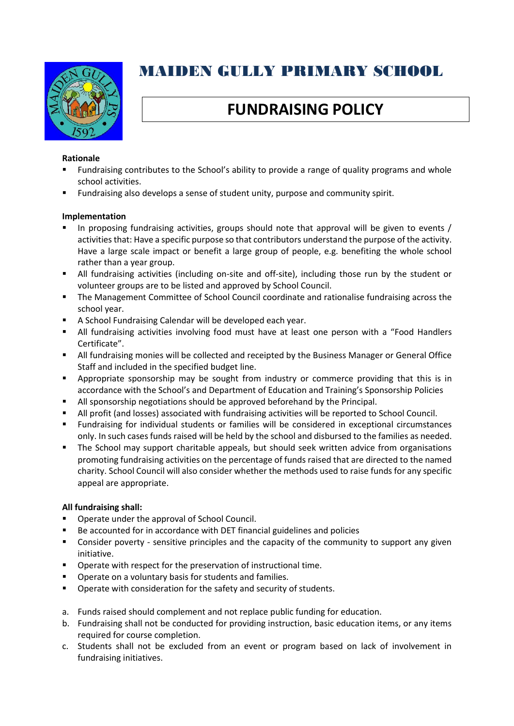

# MAIDEN GULLY PRIMARY SCHOOL

# **FUNDRAISING POLICY**

### **Rationale**

- Fundraising contributes to the School's ability to provide a range of quality programs and whole school activities.
- Fundraising also develops a sense of student unity, purpose and community spirit.

#### **Implementation**

- In proposing fundraising activities, groups should note that approval will be given to events / activities that: Have a specific purpose so that contributors understand the purpose of the activity. Have a large scale impact or benefit a large group of people, e.g. benefiting the whole school rather than a year group.
- All fundraising activities (including on-site and off-site), including those run by the student or volunteer groups are to be listed and approved by School Council.
- **•** The Management Committee of School Council coordinate and rationalise fundraising across the school year.
- A School Fundraising Calendar will be developed each year.
- **■** All fundraising activities involving food must have at least one person with a "Food Handlers Certificate".
- All fundraising monies will be collected and receipted by the Business Manager or General Office Staff and included in the specified budget line.
- **•** Appropriate sponsorship may be sought from industry or commerce providing that this is in accordance with the School's and Department of Education and Training's Sponsorship Policies
- All sponsorship negotiations should be approved beforehand by the Principal.
- All profit (and losses) associated with fundraising activities will be reported to School Council.
- Fundraising for individual students or families will be considered in exceptional circumstances only. In such cases funds raised will be held by the school and disbursed to the families as needed.
- **■** The School may support charitable appeals, but should seek written advice from organisations promoting fundraising activities on the percentage of funds raised that are directed to the named charity. School Council will also consider whether the methods used to raise funds for any specific appeal are appropriate.

#### **All fundraising shall:**

- Operate under the approval of School Council.
- Be accounted for in accordance with DET financial guidelines and policies
- Consider poverty sensitive principles and the capacity of the community to support any given initiative.
- Operate with respect for the preservation of instructional time.
- Operate on a voluntary basis for students and families.
- Operate with consideration for the safety and security of students.
- a. Funds raised should complement and not replace public funding for education.
- b. Fundraising shall not be conducted for providing instruction, basic education items, or any items required for course completion.
- c. Students shall not be excluded from an event or program based on lack of involvement in fundraising initiatives.